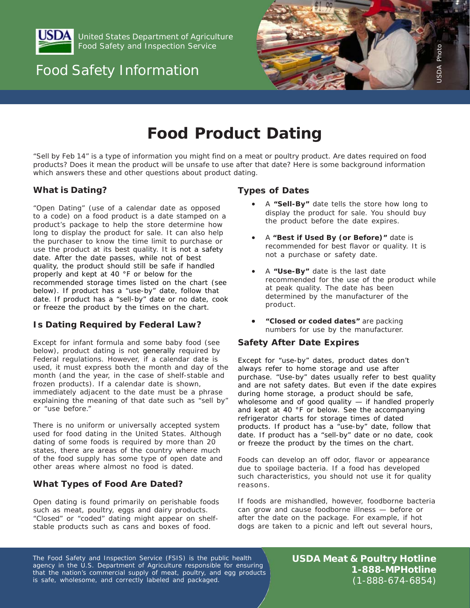

United States Department of Agriculture Food Safety and Inspection Service

# Food Safety Information



# **Food Product Dating**

*"Sell by Feb 14" is a type of information you might find on a meat or poultry product. Are dates required on food products? Does it mean the product will be unsafe to use after that date? Here is some background information which answers these and other questions about product dating.*

#### **What is Dating?**

"Open Dating" (use of a calendar date as opposed to a code) on a food product is a date stamped on a product's package to help the store determine how long to display the product for sale. It can also help the purchaser to know the time limit to purchase or use the product at its best quality. It is not a safety date. After the date passes, while not of best quality, the product should still be safe if handled properly and kept at 40 °F or below for the recommended storage times listed on the chart (see below). If product has a "use-by" date, follow that date. If product has a "sell-by" date or no date, cook or freeze the product by the times on the chart.

#### **Is Dating Required by Federal Law?**

Except for infant formula and some baby food (see below), product dating is not generally required by Federal regulations. However, if a calendar date is used, it must express both the month and day of the month (and the year, in the case of shelf-stable and frozen products). If a calendar date is shown, immediately adjacent to the date must be a phrase explaining the meaning of that date such as "sell by" or "use before."

There is no uniform or universally accepted system used for food dating in the United States. Although dating of some foods is required by more than 20 states, there are areas of the country where much of the food supply has some type of open date and other areas where almost no food is dated.

## **What Types of Food Are Dated?**

Open dating is found primarily on perishable foods such as meat, poultry, eggs and dairy products. "Closed" or "coded" dating might appear on shelfstable products such as cans and boxes of food.

#### **Types of Dates**

- A **"Sell-By"** date tells the store how long to display the product for sale. You should buy the product before the date expires.
- A **"Best if Used By (or Before)"** date is recommended for best flavor or quality. It is not a purchase or safety date.
- A **"Use-By"** date is the last date recommended for the use of the product while at peak quality. The date has been determined by the manufacturer of the product.
- **"Closed or coded dates"** are packing numbers for use by the manufacturer.

#### **Safety After Date Expires**

Except for "use-by" dates, product dates don't always refer to home storage and use after purchase. "Use-by" dates usually refer to best quality and are not safety dates. But even if the date expires during home storage, a product should be safe, wholesome and of good quality - if handled properly and kept at 40 °F or below. See the accompanying refrigerator charts for storage times of dated products. If product has a "use-by" date, follow that date. If product has a "sell-by" date or no date, cook or freeze the product by the times on the chart.

Foods can develop an off odor, flavor or appearance due to spoilage bacteria. If a food has developed such characteristics, you should not use it for quality reasons.

If foods are mishandled, however, foodborne bacteria can grow and cause foodborne illness — before or after the date on the package. For example, if hot dogs are taken to a picnic and left out several hours,

The Food Safety and Inspection Service (FSIS) is the public health agency in the U.S. Department of Agriculture responsible for ensuring that the nation's commercial supply of meat, poultry, and egg products is safe, wholesome, and correctly labeled and packaged.

**USDA Meat & Poultry Hotline 1-888-MPHotline**  $(1 - 888 - 674 - 6854)$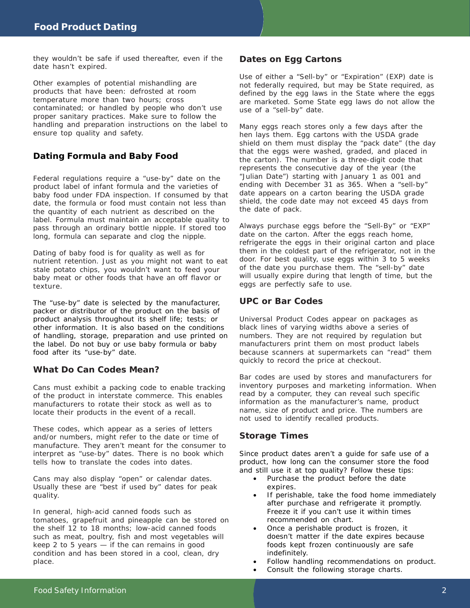they wouldn't be safe if used thereafter, even if the date hasn't expired.

Other examples of potential mishandling are products that have been: defrosted at room temperature more than two hours; cross contaminated; or handled by people who don't use proper sanitary practices. Make sure to follow the handling and preparation instructions on the label to ensure top quality and safety.

#### **Dating Formula and Baby Food**

Federal regulations require a "use-by" date on the product label of infant formula and the varieties of baby food under FDA inspection. If consumed by that date, the formula or food must contain not less than the quantity of each nutrient as described on the label. Formula must maintain an acceptable quality to pass through an ordinary bottle nipple. If stored too long, formula can separate and clog the nipple.

Dating of baby food is for quality as well as for nutrient retention. Just as you might not want to eat stale potato chips, you wouldn't want to feed your baby meat or other foods that have an off flavor or texture.

The "use-by" date is selected by the manufacturer, packer or distributor of the product on the basis of product analysis throughout its shelf life; tests; or other information. It is also based on the conditions of handling, storage, preparation and use printed on the label. Do not buy or use baby formula or baby food after its "use-by" date.

#### **What Do Can Codes Mean?**

Cans must exhibit a packing code to enable tracking of the product in interstate commerce. This enables manufacturers to rotate their stock as well as to locate their products in the event of a recall.

These codes, which appear as a series of letters and/or numbers, might refer to the date or time of manufacture. They aren't meant for the consumer to interpret as "use-by" dates. There is no book which tells how to translate the codes into dates.

Cans may also display "open" or calendar dates. Usually these are "best if used by" dates for peak quality.

In general, high-acid canned foods such as tomatoes, grapefruit and pineapple can be stored on the shelf 12 to 18 months; low-acid canned foods such as meat, poultry, fish and most vegetables will keep 2 to 5 years — if the can remains in good condition and has been stored in a cool, clean, dry place.

#### **Dates on Egg Cartons**

Use of either a "Sell-by" or "Expiration" (EXP) date is not federally required, but may be State required, as defined by the egg laws in the State where the eggs are marketed. Some State egg laws do not allow the use of a "sell-by" date.

Many eggs reach stores only a few days after the hen lays them. Egg cartons with the USDA grade shield on them must display the "pack date" (the day that the eggs were washed, graded, and placed in the carton). The number is a three-digit code that represents the consecutive day of the year (the "Julian Date") starting with January 1 as 001 and ending with December 31 as 365. When a "sell-by" date appears on a carton bearing the USDA grade shield, the code date may not exceed 45 days from the date of pack.

Always purchase eggs before the "Sell-By" or "EXP" date on the carton. After the eggs reach home, refrigerate the eggs in their original carton and place them in the coldest part of the refrigerator, not in the door. For best quality, use eggs within 3 to 5 weeks of the date you purchase them. The "sell-by" date will usually expire during that length of time, but the eggs are perfectly safe to use.

#### **UPC or Bar Codes**

Universal Product Codes appear on packages as black lines of varying widths above a series of numbers. They are not required by regulation but manufacturers print them on most product labels because scanners at supermarkets can "read" them quickly to record the price at checkout.

Bar codes are used by stores and manufacturers for inventory purposes and marketing information. When read by a computer, they can reveal such specific information as the manufacturer's name, product name, size of product and price. The numbers are not used to identify recalled products.

#### **Storage Times**

Since product dates aren't a guide for safe use of a product, how long can the consumer store the food and still use it at top quality? Follow these tips:

- Purchase the product before the date expires.
- If perishable, take the food home immediately after purchase and refrigerate it promptly. Freeze it if you can't use it within times recommended on chart.
- Once a perishable product is frozen, it doesn't matter if the date expires because foods kept frozen continuously are safe indefinitely.
- Follow handling recommendations on product.
- Consult the following storage charts.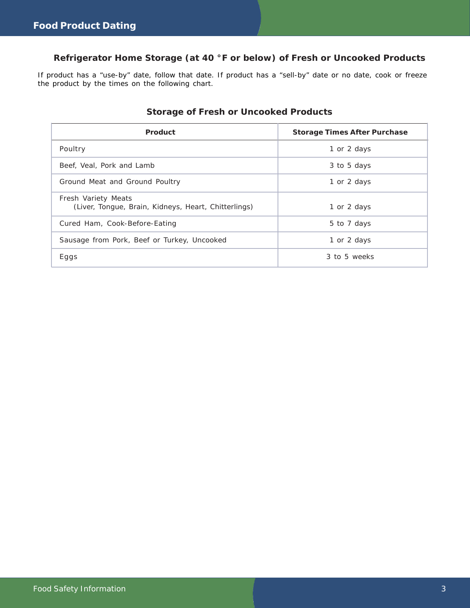## **Refrigerator Home Storage (at 40 °F or below) of Fresh or Uncooked Products**

If product has a "use-by" date, follow that date. If product has a "sell-by" date or no date, cook or freeze the product by the times on the following chart.

| Product                                                                     | <b>Storage Times After Purchase</b> |
|-----------------------------------------------------------------------------|-------------------------------------|
| Poultry                                                                     | 1 or 2 days                         |
| Beef, Veal, Pork and Lamb                                                   | 3 to 5 days                         |
| Ground Meat and Ground Poultry                                              | 1 or 2 days                         |
| Fresh Variety Meats<br>(Liver, Tongue, Brain, Kidneys, Heart, Chitterlings) | 1 or 2 days                         |
| Cured Ham, Cook-Before-Eating                                               | 5 to 7 days                         |
| Sausage from Pork, Beef or Turkey, Uncooked                                 | 1 or 2 days                         |
| Eggs                                                                        | 3 to 5 weeks                        |

## **Storage of Fresh or Uncooked Products**